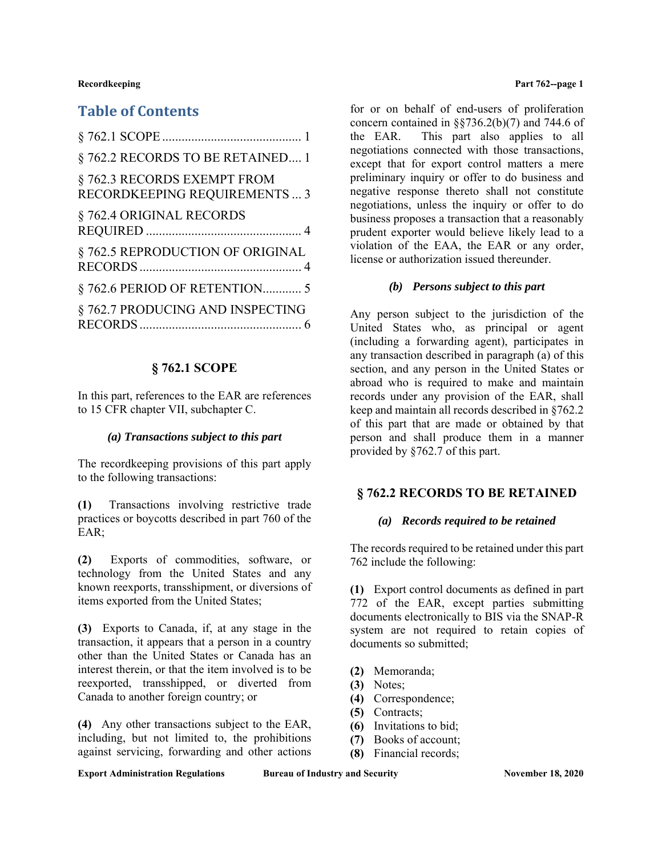# **Table of Contents**

| § 762.2 RECORDS TO BE RETAINED 1                             |
|--------------------------------------------------------------|
| § 762.3 RECORDS EXEMPT FROM<br>RECORDKEEPING REQUIREMENTS  3 |
| § 762.4 ORIGINAL RECORDS                                     |
| § 762.5 REPRODUCTION OF ORIGINAL                             |
| § 762.6 PERIOD OF RETENTION 5                                |
| § 762.7 PRODUCING AND INSPECTING                             |

## **§ 762.1 SCOPE**

In this part, references to the EAR are references to 15 CFR chapter VII, subchapter C.

### *(a) Transactions subject to this part*

The recordkeeping provisions of this part apply to the following transactions:

**(1)** Transactions involving restrictive trade practices or boycotts described in part 760 of the EAR;

**(2)** Exports of commodities, software, or technology from the United States and any known reexports, transshipment, or diversions of items exported from the United States;

**(3)** Exports to Canada, if, at any stage in the transaction, it appears that a person in a country other than the United States or Canada has an interest therein, or that the item involved is to be reexported, transshipped, or diverted from Canada to another foreign country; or

**(4)** Any other transactions subject to the EAR, including, but not limited to, the prohibitions against servicing, forwarding and other actions

**Recordkeeping Part 762--page 1** 

for or on behalf of end-users of proliferation concern contained in  $\S$ §736.2(b)(7) and 744.6 of the EAR. This part also applies to all negotiations connected with those transactions, except that for export control matters a mere preliminary inquiry or offer to do business and negative response thereto shall not constitute negotiations, unless the inquiry or offer to do business proposes a transaction that a reasonably prudent exporter would believe likely lead to a violation of the EAA, the EAR or any order, license or authorization issued thereunder.

## *(b) Persons subject to this part*

Any person subject to the jurisdiction of the United States who, as principal or agent (including a forwarding agent), participates in any transaction described in paragraph (a) of this section, and any person in the United States or abroad who is required to make and maintain records under any provision of the EAR, shall keep and maintain all records described in §762.2 of this part that are made or obtained by that person and shall produce them in a manner provided by §762.7 of this part.

# **§ 762.2 RECORDS TO BE RETAINED**

### *(a) Records required to be retained*

The records required to be retained under this part 762 include the following:

**(1)** Export control documents as defined in part 772 of the EAR, except parties submitting documents electronically to BIS via the SNAP-R system are not required to retain copies of documents so submitted;

- **(2)** Memoranda;
- **(3)** Notes;
- **(4)** Correspondence;
- **(5)** Contracts;
- **(6)** Invitations to bid;
- **(7)** Books of account;
- **(8)** Financial records;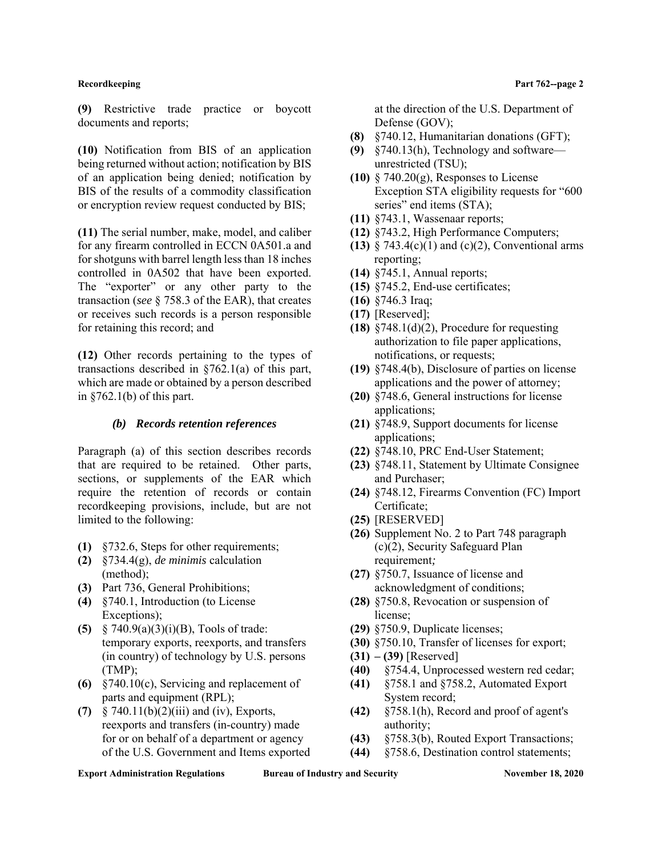**(9)** Restrictive trade practice or boycott documents and reports;

**(10)** Notification from BIS of an application being returned without action; notification by BIS of an application being denied; notification by BIS of the results of a commodity classification or encryption review request conducted by BIS;

**(11)** The serial number, make, model, and caliber for any firearm controlled in ECCN 0A501.a and for shotguns with barrel length less than 18 inches controlled in 0A502 that have been exported. The "exporter" or any other party to the transaction (*see* § 758.3 of the EAR), that creates or receives such records is a person responsible for retaining this record; and

**(12)** Other records pertaining to the types of transactions described in §762.1(a) of this part, which are made or obtained by a person described in  $§762.1(b)$  of this part.

### *(b) Records retention references*

Paragraph (a) of this section describes records that are required to be retained. Other parts, sections, or supplements of the EAR which require the retention of records or contain recordkeeping provisions, include, but are not limited to the following:

- **(1)** §732.6, Steps for other requirements;
- **(2)** §734.4(g), *de minimis* calculation (method);
- **(3)** Part 736, General Prohibitions;
- **(4)** §740.1, Introduction (to License Exceptions);
- **(5)** § 740.9(a)(3)(i)(B), Tools of trade: temporary exports, reexports, and transfers (in country) of technology by U.S. persons (TMP);
- **(6)** §740.10(c), Servicing and replacement of parts and equipment (RPL);
- **(7)** § 740.11(b)(2)(iii) and (iv), Exports, reexports and transfers (in-country) made for or on behalf of a department or agency of the U.S. Government and Items exported

at the direction of the U.S. Department of Defense (GOV);

- **(8)** §740.12, Humanitarian donations (GFT);
- **(9)** §740.13(h), Technology and software unrestricted (TSU);
- **(10)** § 740.20(g), Responses to License Exception STA eligibility requests for "600 series" end items (STA);
- **(11)** §743.1, Wassenaar reports;
- **(12)** §743.2, High Performance Computers;
- **(13)** § 743.4(c)(1) and (c)(2), Conventional arms reporting;
- **(14)** §745.1, Annual reports;
- **(15)** §745.2, End-use certificates;
- **(16)** §746.3 Iraq;
- **(17)** [Reserved];
- **(18)** §748.1(d)(2), Procedure for requesting authorization to file paper applications, notifications, or requests;
- **(19)** §748.4(b), Disclosure of parties on license applications and the power of attorney;
- **(20)** §748.6, General instructions for license applications;
- **(21)** §748.9, Support documents for license applications;
- **(22)** §748.10, PRC End-User Statement;
- **(23)** §748.11, Statement by Ultimate Consignee and Purchaser;
- **(24)** §748.12, Firearms Convention (FC) Import Certificate;
- **(25)** [RESERVED]
- **(26)** Supplement No. 2 to Part 748 paragraph (c)(2), Security Safeguard Plan requirement*;*
- **(27)** §750.7, Issuance of license and acknowledgment of conditions;
- **(28)** §750.8, Revocation or suspension of license;
- **(29)** §750.9, Duplicate licenses;
- **(30)** §750.10, Transfer of licenses for export;
- **(31) (39)** [Reserved]
- **(40)** §754.4, Unprocessed western red cedar;
- **(41)** §758.1 and §758.2, Automated Export System record;
- **(42)** §758.1(h), Record and proof of agent's authority;
- **(43)** §758.3(b), Routed Export Transactions;
- **(44)** §758.6, Destination control statements;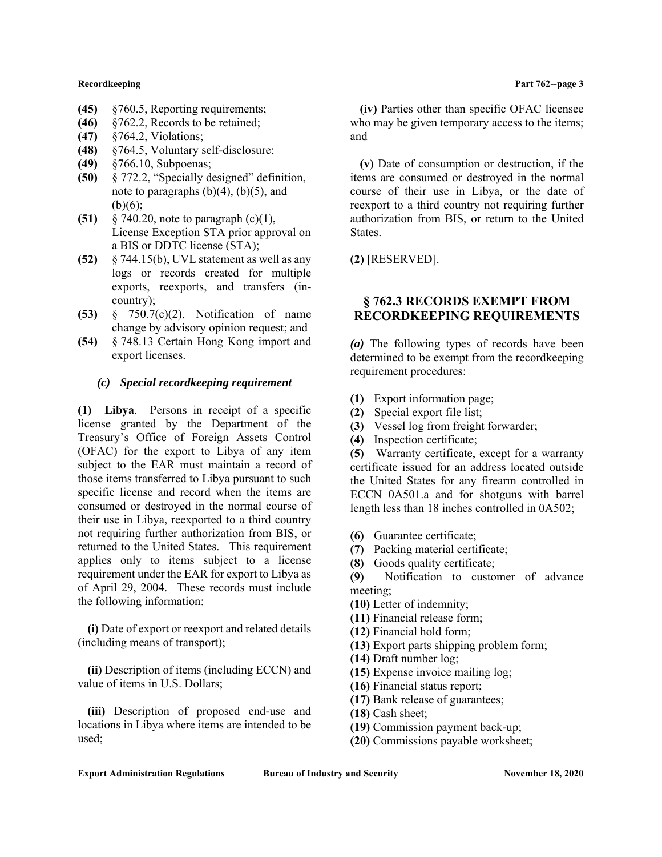- **(45)** §760.5, Reporting requirements;
- **(46)** §762.2, Records to be retained;
- **(47)** §764.2, Violations;
- **(48)** §764.5, Voluntary self-disclosure;
- **(49)** §766.10, Subpoenas;
- **(50)** § 772.2, "Specially designed" definition, note to paragraphs  $(b)(4)$ ,  $(b)(5)$ , and  $(b)(6)$ :
- **(51)** § 740.20, note to paragraph (c)(1), License Exception STA prior approval on a BIS or DDTC license (STA);
- **(52)** § 744.15(b), UVL statement as well as any logs or records created for multiple exports, reexports, and transfers (incountry);
- **(53)** § 750.7(c)(2), Notification of name change by advisory opinion request; and
- **(54)** § 748.13 Certain Hong Kong import and export licenses.

## *(c) Special recordkeeping requirement*

**(1) Libya**. Persons in receipt of a specific license granted by the Department of the Treasury's Office of Foreign Assets Control (OFAC) for the export to Libya of any item subject to the EAR must maintain a record of those items transferred to Libya pursuant to such specific license and record when the items are consumed or destroyed in the normal course of their use in Libya, reexported to a third country not requiring further authorization from BIS, or returned to the United States. This requirement applies only to items subject to a license requirement under the EAR for export to Libya as of April 29, 2004. These records must include the following information:

**(i)** Date of export or reexport and related details (including means of transport);

**(ii)** Description of items (including ECCN) and value of items in U.S. Dollars;

**(iii)** Description of proposed end-use and locations in Libya where items are intended to be used;

**(iv)** Parties other than specific OFAC licensee who may be given temporary access to the items; and

**(v)** Date of consumption or destruction, if the items are consumed or destroyed in the normal course of their use in Libya, or the date of reexport to a third country not requiring further authorization from BIS, or return to the United States.

**(2)** [RESERVED].

# **§ 762.3 RECORDS EXEMPT FROM RECORDKEEPING REQUIREMENTS**

*(a)* The following types of records have been determined to be exempt from the recordkeeping requirement procedures:

- **(1)** Export information page;
- **(2)** Special export file list;
- **(3)** Vessel log from freight forwarder;
- **(4)** Inspection certificate;

**(5)** Warranty certificate, except for a warranty certificate issued for an address located outside the United States for any firearm controlled in ECCN 0A501.a and for shotguns with barrel length less than 18 inches controlled in 0A502;

- **(6)** Guarantee certificate;
- **(7)** Packing material certificate;
- **(8)** Goods quality certificate;

**(9)** Notification to customer of advance meeting;

- **(10)** Letter of indemnity;
- **(11)** Financial release form;
- **(12)** Financial hold form;
- **(13)** Export parts shipping problem form;
- **(14)** Draft number log;
- **(15)** Expense invoice mailing log;
- **(16)** Financial status report;
- **(17)** Bank release of guarantees;
- **(18)** Cash sheet;
- **(19)** Commission payment back-up;
- **(20)** Commissions payable worksheet;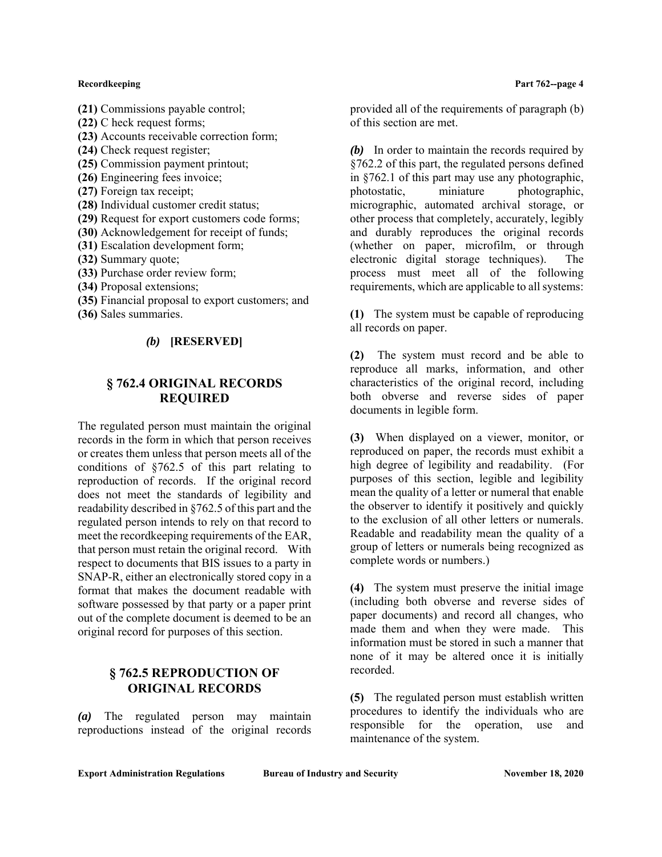- **(22)** C heck request forms;
- **(23)** Accounts receivable correction form;
- **(24)** Check request register;
- **(25)** Commission payment printout;
- **(26)** Engineering fees invoice;
- **(27)** Foreign tax receipt;
- **(28)** Individual customer credit status;
- **(29)** Request for export customers code forms;
- **(30)** Acknowledgement for receipt of funds;
- **(31)** Escalation development form;
- **(32)** Summary quote;
- **(33)** Purchase order review form;
- **(34)** Proposal extensions;
- **(35)** Financial proposal to export customers; and
- **(36)** Sales summaries.

## *(b)* **[RESERVED]**

# **§ 762.4 ORIGINAL RECORDS REQUIRED**

The regulated person must maintain the original records in the form in which that person receives or creates them unless that person meets all of the conditions of §762.5 of this part relating to reproduction of records. If the original record does not meet the standards of legibility and readability described in §762.5 of this part and the regulated person intends to rely on that record to meet the recordkeeping requirements of the EAR, that person must retain the original record. With respect to documents that BIS issues to a party in SNAP-R, either an electronically stored copy in a format that makes the document readable with software possessed by that party or a paper print out of the complete document is deemed to be an original record for purposes of this section.

# **§ 762.5 REPRODUCTION OF ORIGINAL RECORDS**

*(a)* The regulated person may maintain reproductions instead of the original records

provided all of the requirements of paragraph (b) of this section are met.

*(b)* In order to maintain the records required by §762.2 of this part, the regulated persons defined in §762.1 of this part may use any photographic, photostatic, miniature photographic, micrographic, automated archival storage, or other process that completely, accurately, legibly and durably reproduces the original records (whether on paper, microfilm, or through electronic digital storage techniques). The process must meet all of the following requirements, which are applicable to all systems:

**(1)** The system must be capable of reproducing all records on paper.

**(2)** The system must record and be able to reproduce all marks, information, and other characteristics of the original record, including both obverse and reverse sides of paper documents in legible form.

**(3)** When displayed on a viewer, monitor, or reproduced on paper, the records must exhibit a high degree of legibility and readability. (For purposes of this section, legible and legibility mean the quality of a letter or numeral that enable the observer to identify it positively and quickly to the exclusion of all other letters or numerals. Readable and readability mean the quality of a group of letters or numerals being recognized as complete words or numbers.)

**(4)** The system must preserve the initial image (including both obverse and reverse sides of paper documents) and record all changes, who made them and when they were made. This information must be stored in such a manner that none of it may be altered once it is initially recorded.

**(5)** The regulated person must establish written procedures to identify the individuals who are responsible for the operation, use and maintenance of the system.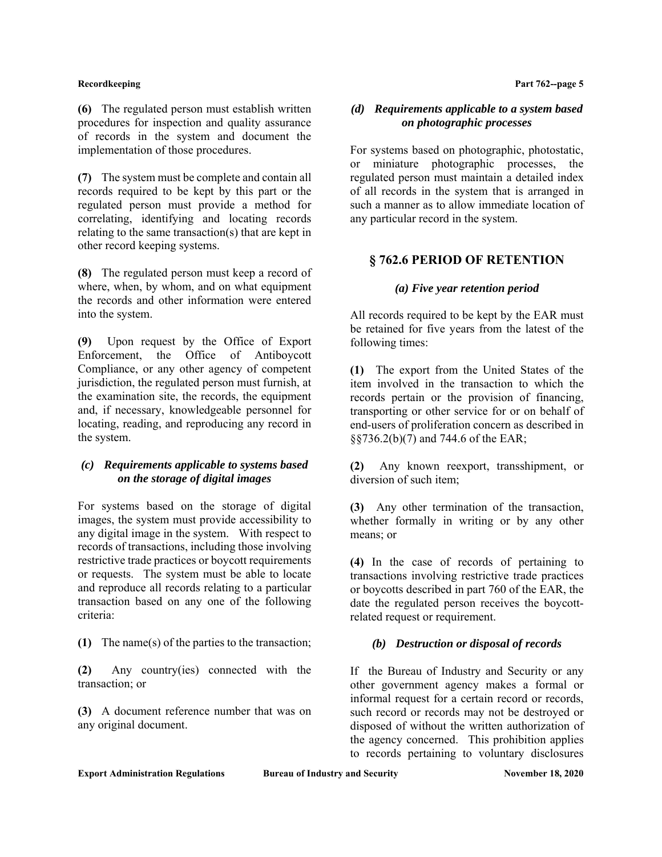**(6)** The regulated person must establish written procedures for inspection and quality assurance of records in the system and document the implementation of those procedures.

**(7)** The system must be complete and contain all records required to be kept by this part or the regulated person must provide a method for correlating, identifying and locating records relating to the same transaction(s) that are kept in other record keeping systems.

**(8)** The regulated person must keep a record of where, when, by whom, and on what equipment the records and other information were entered into the system.

**(9)** Upon request by the Office of Export Enforcement, the Office of Antiboycott Compliance, or any other agency of competent jurisdiction, the regulated person must furnish, at the examination site, the records, the equipment and, if necessary, knowledgeable personnel for locating, reading, and reproducing any record in the system.

## *(c) Requirements applicable to systems based on the storage of digital images*

For systems based on the storage of digital images, the system must provide accessibility to any digital image in the system. With respect to records of transactions, including those involving restrictive trade practices or boycott requirements or requests. The system must be able to locate and reproduce all records relating to a particular transaction based on any one of the following criteria:

**(1)** The name(s) of the parties to the transaction;

**(2)** Any country(ies) connected with the transaction; or

**(3)** A document reference number that was on any original document.

**Recordkeeping Part 762--page 5** 

## *(d) Requirements applicable to a system based on photographic processes*

For systems based on photographic, photostatic, or miniature photographic processes, the regulated person must maintain a detailed index of all records in the system that is arranged in such a manner as to allow immediate location of any particular record in the system.

# **§ 762.6 PERIOD OF RETENTION**

## *(a) Five year retention period*

All records required to be kept by the EAR must be retained for five years from the latest of the following times:

**(1)** The export from the United States of the item involved in the transaction to which the records pertain or the provision of financing, transporting or other service for or on behalf of end-users of proliferation concern as described in §§736.2(b)(7) and 744.6 of the EAR;

**(2)** Any known reexport, transshipment, or diversion of such item;

**(3)** Any other termination of the transaction, whether formally in writing or by any other means; or

**(4)** In the case of records of pertaining to transactions involving restrictive trade practices or boycotts described in part 760 of the EAR, the date the regulated person receives the boycottrelated request or requirement.

# *(b) Destruction or disposal of records*

If the Bureau of Industry and Security or any other government agency makes a formal or informal request for a certain record or records, such record or records may not be destroyed or disposed of without the written authorization of the agency concerned. This prohibition applies to records pertaining to voluntary disclosures